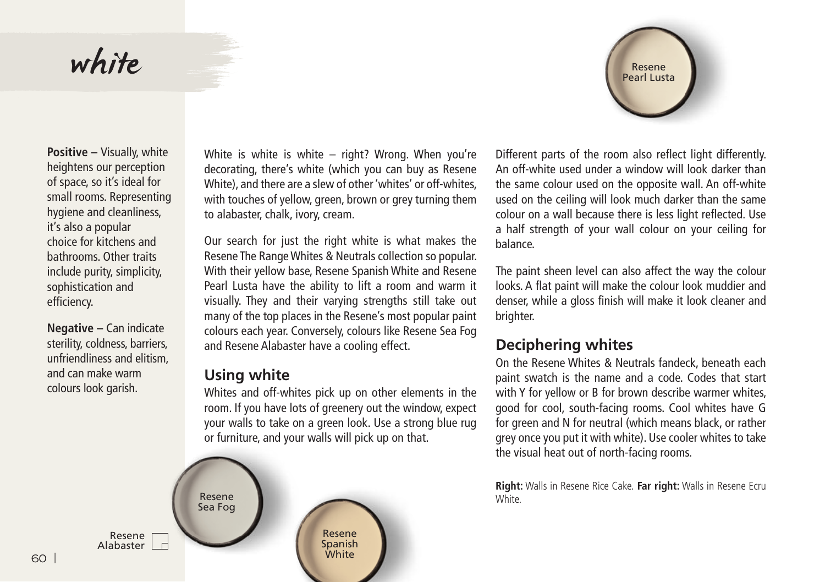## white



**Positive –** Visually, white heightens our perception of space, so it's ideal for small rooms. Representing hygiene and cleanliness, it's also a popular choice for kitchens and bathrooms. Other traits include purity, simplicity, sophistication and efficiency.

**Negative –** Can indicate sterility, coldness, barriers, unfriendliness and elitism, and can make warm colours look garish.

White is white is white – right? Wrong. When you're decorating, there's white (which you can buy as Resene White), and there are a slew of other 'whites' or off-whites, with touches of yellow, green, brown or grey turning them to alabaster, chalk, ivory, cream.

Our search for just the right white is what makes the Resene The Range Whites & Neutrals collection so popular. With their yellow base, Resene Spanish White and Resene Pearl Lusta have the ability to lift a room and warm it visually. They and their varying strengths still take out many of the top places in the Resene's most popular paint colours each year. Conversely, colours like Resene Sea Fog and Resene Alabaster have a cooling effect.

## **Using white**

Whites and off-whites pick up on other elements in the room. If you have lots of greenery out the window, expect your walls to take on a green look. Use a strong blue rug or furniture, and your walls will pick up on that.



Different parts of the room also reflect light differently. An off-white used under a window will look darker than the same colour used on the opposite wall. An off-white used on the ceiling will look much darker than the same colour on a wall because there is less light reflected. Use a half strength of your wall colour on your ceiling for balance.

The paint sheen level can also affect the way the colour looks. A flat paint will make the colour look muddier and denser, while a gloss finish will make it look cleaner and brighter.

## **Deciphering whites**

On the Resene Whites & Neutrals fandeck, beneath each paint swatch is the name and a code. Codes that start with Y for yellow or B for brown describe warmer whites, good for cool, south-facing rooms. Cool whites have G for green and N for neutral (which means black, or rather grey once you put it with white). Use cooler whites to take the visual heat out of north-facing rooms.

**Right:** Walls in Resene Rice Cake. **Far right:** Walls in Resene Ecru **White**